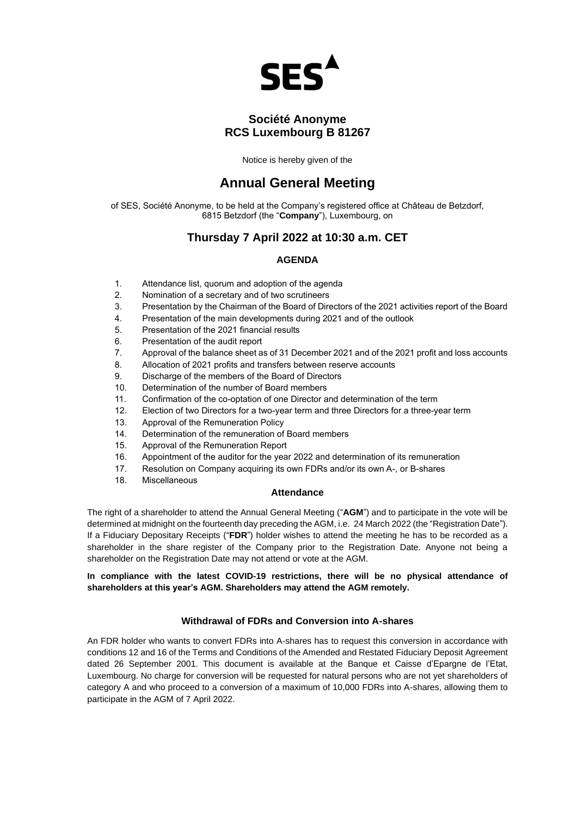

# **Société Anonyme RCS Luxembourg B 81267**

Notice is hereby given of the

# **Annual General Meeting**

of SES, Société Anonyme, to be held at the Company's registered office at Château de Betzdorf, 6815 Betzdorf (the "**Company**"), Luxembourg, on

## **Thursday 7 April 2022 at 10:30 a.m. CET**

## **AGENDA**

- 1. Attendance list, quorum and adoption of the agenda
- 2. Nomination of a secretary and of two scrutineers
- 3. Presentation by the Chairman of the Board of Directors of the 2021 activities report of the Board
- 4. Presentation of the main developments during 2021 and of the outlook
- 5. Presentation of the 2021 financial results
- 6. Presentation of the audit report
- 7. Approval of the balance sheet as of 31 December 2021 and of the 2021 profit and loss accounts
- 8. Allocation of 2021 profits and transfers between reserve accounts
- 9. Discharge of the members of the Board of Directors
- 10. Determination of the number of Board members
- 11. Confirmation of the co-optation of one Director and determination of the term
- 12. Election of two Directors for a two-year term and three Directors for a three-year term
- 13. Approval of the Remuneration Policy
- 14. Determination of the remuneration of Board members
- 15. Approval of the Remuneration Report
- 16. Appointment of the auditor for the year 2022 and determination of its remuneration
- 17. Resolution on Company acquiring its own FDRs and/or its own A-, or B-shares
- 18. Miscellaneous

#### **Attendance**

The right of a shareholder to attend the Annual General Meeting ("**AGM**") and to participate in the vote will be determined at midnight on the fourteenth day preceding the AGM, i.e. 24 March 2022 (the "Registration Date"). If a Fiduciary Depositary Receipts ("**FDR**") holder wishes to attend the meeting he has to be recorded as a shareholder in the share register of the Company prior to the Registration Date. Anyone not being a shareholder on the Registration Date may not attend or vote at the AGM.

**In compliance with the latest COVID-19 restrictions, there will be no physical attendance of shareholders at this year's AGM. Shareholders may attend the AGM remotely.** 

### **Withdrawal of FDRs and Conversion into A-shares**

An FDR holder who wants to convert FDRs into A-shares has to request this conversion in accordance with conditions 12 and 16 of the Terms and Conditions of the Amended and Restated Fiduciary Deposit Agreement dated 26 September 2001. This document is available at the Banque et Caisse d'Epargne de l'Etat, Luxembourg. No charge for conversion will be requested for natural persons who are not yet shareholders of category A and who proceed to a conversion of a maximum of 10,000 FDRs into A-shares, allowing them to participate in the AGM of 7 April 2022.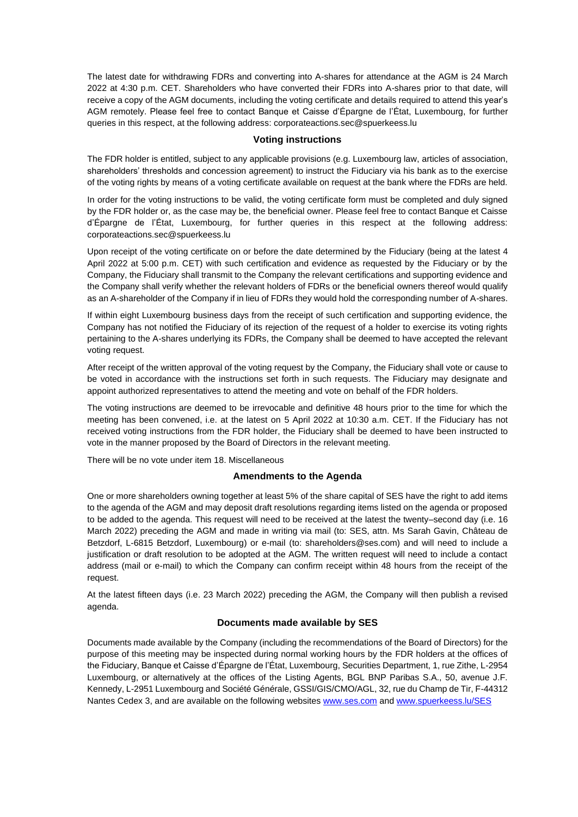The latest date for withdrawing FDRs and converting into A-shares for attendance at the AGM is 24 March 2022 at 4:30 p.m. CET. Shareholders who have converted their FDRs into A-shares prior to that date, will receive a copy of the AGM documents, including the voting certificate and details required to attend this year's AGM remotely. Please feel free to contact Banque et Caisse d'Épargne de l'État, Luxembourg, for further queries in this respect, at the following address: [corporateactions.sec@spuerkeess.lu](mailto:corporateactions.sec@spuerkeess.lu)

#### **Voting instructions**

The FDR holder is entitled, subject to any applicable provisions (e.g. Luxembourg law, articles of association, shareholders' thresholds and concession agreement) to instruct the Fiduciary via his bank as to the exercise of the voting rights by means of a voting certificate available on request at the bank where the FDRs are held.

In order for the voting instructions to be valid, the voting certificate form must be completed and duly signed by the FDR holder or, as the case may be, the beneficial owner. Please feel free to contact Banque et Caisse d'Épargne de l'État, Luxembourg, for further queries in this respect at the following address: [corporateactions.sec@spuerkeess.lu](mailto:corporateactions.sec@spuerkeess.lu)

Upon receipt of the voting certificate on or before the date determined by the Fiduciary (being at the latest 4 April 2022 at 5:00 p.m. CET) with such certification and evidence as requested by the Fiduciary or by the Company, the Fiduciary shall transmit to the Company the relevant certifications and supporting evidence and the Company shall verify whether the relevant holders of FDRs or the beneficial owners thereof would qualify as an A-shareholder of the Company if in lieu of FDRs they would hold the corresponding number of A-shares.

If within eight Luxembourg business days from the receipt of such certification and supporting evidence, the Company has not notified the Fiduciary of its rejection of the request of a holder to exercise its voting rights pertaining to the A-shares underlying its FDRs, the Company shall be deemed to have accepted the relevant voting request.

After receipt of the written approval of the voting request by the Company, the Fiduciary shall vote or cause to be voted in accordance with the instructions set forth in such requests. The Fiduciary may designate and appoint authorized representatives to attend the meeting and vote on behalf of the FDR holders.

The voting instructions are deemed to be irrevocable and definitive 48 hours prior to the time for which the meeting has been convened, i.e. at the latest on 5 April 2022 at 10:30 a.m. CET. If the Fiduciary has not received voting instructions from the FDR holder, the Fiduciary shall be deemed to have been instructed to vote in the manner proposed by the Board of Directors in the relevant meeting.

There will be no vote under item 18. Miscellaneous

#### **Amendments to the Agenda**

One or more shareholders owning together at least 5% of the share capital of SES have the right to add items to the agenda of the AGM and may deposit draft resolutions regarding items listed on the agenda or proposed to be added to the agenda. This request will need to be received at the latest the twenty–second day (i.e. 16 March 2022) preceding the AGM and made in writing via mail (to: SES, attn. Ms Sarah Gavin, Château de Betzdorf, L-6815 Betzdorf, Luxembourg) or e-mail (to: shareholders@ses.com) and will need to include a justification or draft resolution to be adopted at the AGM. The written request will need to include a contact address (mail or e-mail) to which the Company can confirm receipt within 48 hours from the receipt of the request.

At the latest fifteen days (i.e. 23 March 2022) preceding the AGM, the Company will then publish a revised agenda.

#### **Documents made available by SES**

Documents made available by the Company (including the recommendations of the Board of Directors) for the purpose of this meeting may be inspected during normal working hours by the FDR holders at the offices of the Fiduciary, Banque et Caisse d'Épargne de l'État, Luxembourg, Securities Department, 1, rue Zithe, L-2954 Luxembourg, or alternatively at the offices of the Listing Agents, BGL BNP Paribas S.A., 50, avenue J.F. Kennedy, L-2951 Luxembourg and Société Générale, GSSI/GIS/CMO/AGL, 32, rue du Champ de Tir, F-44312 Nantes Cedex 3, and are available on the following websites [www.ses.com](http://www.ses.com/) and [www.spuerkeess.lu/SES](http://www.spuerkeess.lu/SES)